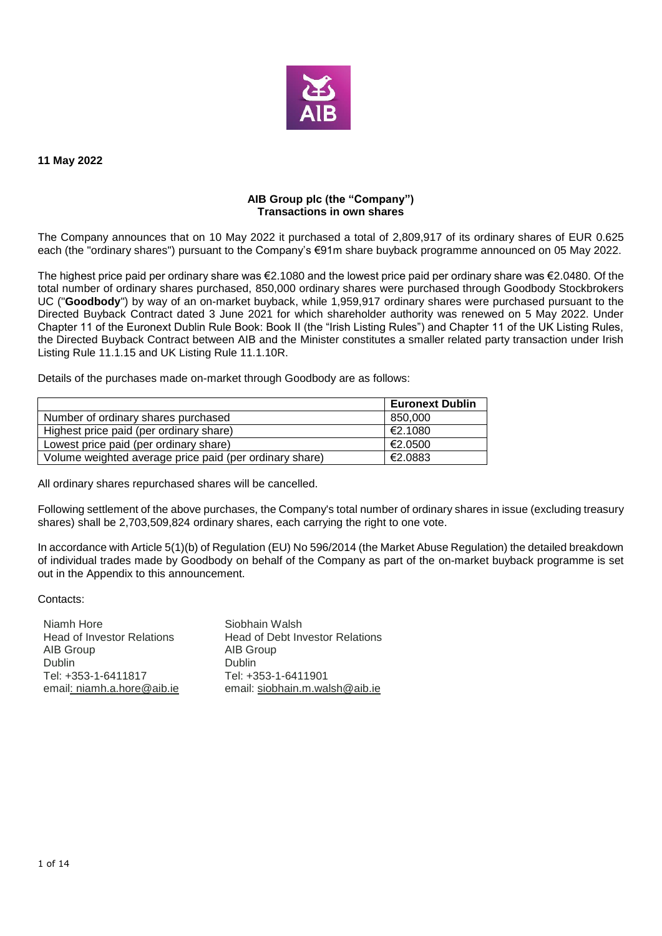

**11 May 2022**

## **AIB Group plc (the "Company") Transactions in own shares**

The Company announces that on 10 May 2022 it purchased a total of 2,809,917 of its ordinary shares of EUR 0.625 each (the "ordinary shares") pursuant to the Company's €91m share buyback programme announced on 05 May 2022.

The highest price paid per ordinary share was €2.1080 and the lowest price paid per ordinary share was €2.0480. Of the total number of ordinary shares purchased, 850,000 ordinary shares were purchased through Goodbody Stockbrokers UC ("**Goodbody**") by way of an on-market buyback, while 1,959,917 ordinary shares were purchased pursuant to the Directed Buyback Contract dated 3 June 2021 for which shareholder authority was renewed on 5 May 2022. Under Chapter 11 of the Euronext Dublin Rule Book: Book II (the "Irish Listing Rules") and Chapter 11 of the UK Listing Rules, the Directed Buyback Contract between AIB and the Minister constitutes a smaller related party transaction under Irish Listing Rule 11.1.15 and UK Listing Rule 11.1.10R.

Details of the purchases made on-market through Goodbody are as follows:

|                                                         | <b>Euronext Dublin</b> |
|---------------------------------------------------------|------------------------|
| Number of ordinary shares purchased                     | 850,000                |
| Highest price paid (per ordinary share)                 | €2.1080                |
| Lowest price paid (per ordinary share)                  | €2.0500                |
| Volume weighted average price paid (per ordinary share) | €2.0883                |

All ordinary shares repurchased shares will be cancelled.

Following settlement of the above purchases, the Company's total number of ordinary shares in issue (excluding treasury shares) shall be 2,703,509,824 ordinary shares, each carrying the right to one vote.

In accordance with Article 5(1)(b) of Regulation (EU) No 596/2014 (the Market Abuse Regulation) the detailed breakdown of individual trades made by Goodbody on behalf of the Company as part of the on-market buyback programme is set out in the Appendix to this announcement.

Contacts:

Niamh Hore **Siobhain Walsh** AIB Group and AIB Group AIB Group AIB Group Tel: +353-1-6411817 email: niamh.a.hore@aib.ie email: siobhain.m.walsh@aib.ie

Head of Investor Relations Head of Debt Investor Relations Dublin<br>Tel: +353-1-6411901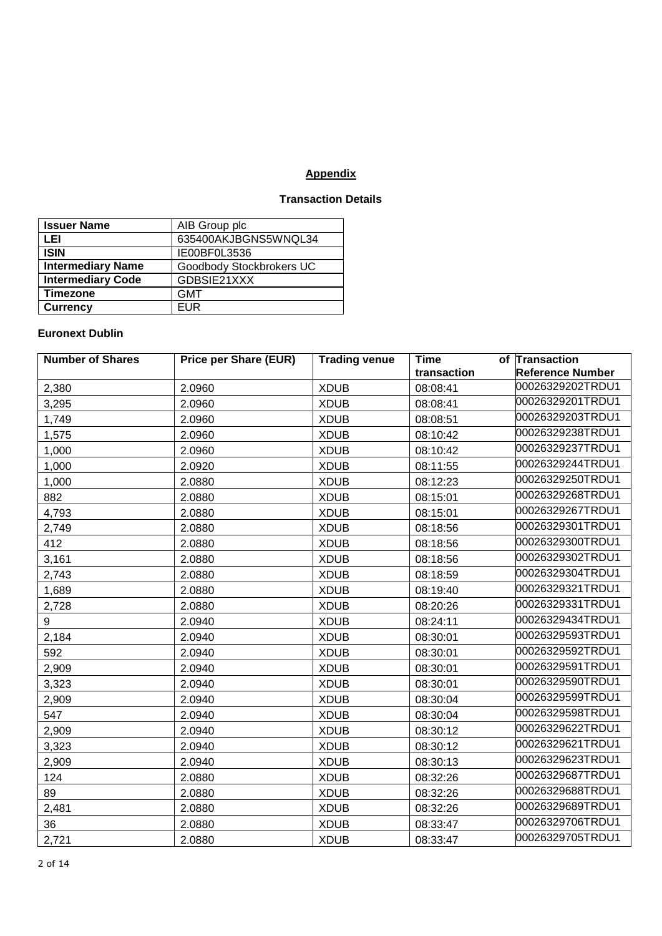## **Appendix**

## **Transaction Details**

| <b>Issuer Name</b>       | AIB Group plc            |
|--------------------------|--------------------------|
| LEI                      | 635400AKJBGNS5WNQL34     |
| <b>ISIN</b>              | IE00BF0L3536             |
| <b>Intermediary Name</b> | Goodbody Stockbrokers UC |
| <b>Intermediary Code</b> | GDBSIE21XXX              |
| <b>Timezone</b>          | <b>GMT</b>               |
| <b>Currency</b>          | <b>EUR</b>               |

## **Euronext Dublin**

| <b>Number of Shares</b> | <b>Price per Share (EUR)</b> | <b>Trading venue</b> | Time        | of Transaction          |
|-------------------------|------------------------------|----------------------|-------------|-------------------------|
|                         |                              |                      | transaction | <b>Reference Number</b> |
| 2,380                   | 2.0960                       | <b>XDUB</b>          | 08:08:41    | 00026329202TRDU1        |
| 3,295                   | 2.0960                       | <b>XDUB</b>          | 08:08:41    | 00026329201TRDU1        |
| 1,749                   | 2.0960                       | <b>XDUB</b>          | 08:08:51    | 00026329203TRDU1        |
| 1,575                   | 2.0960                       | <b>XDUB</b>          | 08:10:42    | 00026329238TRDU1        |
| 1,000                   | 2.0960                       | <b>XDUB</b>          | 08:10:42    | 00026329237TRDU1        |
| 1,000                   | 2.0920                       | <b>XDUB</b>          | 08:11:55    | 00026329244TRDU1        |
| 1,000                   | 2.0880                       | <b>XDUB</b>          | 08:12:23    | 00026329250TRDU1        |
| 882                     | 2.0880                       | <b>XDUB</b>          | 08:15:01    | 00026329268TRDU1        |
| 4,793                   | 2.0880                       | <b>XDUB</b>          | 08:15:01    | 00026329267TRDU1        |
| 2,749                   | 2.0880                       | <b>XDUB</b>          | 08:18:56    | 00026329301TRDU1        |
| 412                     | 2.0880                       | <b>XDUB</b>          | 08:18:56    | 00026329300TRDU1        |
| 3,161                   | 2.0880                       | <b>XDUB</b>          | 08:18:56    | 00026329302TRDU1        |
| 2,743                   | 2.0880                       | <b>XDUB</b>          | 08:18:59    | 00026329304TRDU1        |
| 1,689                   | 2.0880                       | <b>XDUB</b>          | 08:19:40    | 00026329321TRDU1        |
| 2,728                   | 2.0880                       | <b>XDUB</b>          | 08:20:26    | 00026329331TRDU1        |
| 9                       | 2.0940                       | <b>XDUB</b>          | 08:24:11    | 00026329434TRDU1        |
| 2,184                   | 2.0940                       | <b>XDUB</b>          | 08:30:01    | 00026329593TRDU1        |
| 592                     | 2.0940                       | <b>XDUB</b>          | 08:30:01    | 00026329592TRDU1        |
| 2,909                   | 2.0940                       | <b>XDUB</b>          | 08:30:01    | 00026329591TRDU1        |
| 3,323                   | 2.0940                       | <b>XDUB</b>          | 08:30:01    | 00026329590TRDU1        |
| 2,909                   | 2.0940                       | <b>XDUB</b>          | 08:30:04    | 00026329599TRDU1        |
| 547                     | 2.0940                       | <b>XDUB</b>          | 08:30:04    | 00026329598TRDU1        |
| 2,909                   | 2.0940                       | <b>XDUB</b>          | 08:30:12    | 00026329622TRDU1        |
| 3,323                   | 2.0940                       | <b>XDUB</b>          | 08:30:12    | 00026329621TRDU1        |
| 2,909                   | 2.0940                       | <b>XDUB</b>          | 08:30:13    | 00026329623TRDU1        |
| 124                     | 2.0880                       | <b>XDUB</b>          | 08:32:26    | 00026329687TRDU1        |
| 89                      | 2.0880                       | <b>XDUB</b>          | 08:32:26    | 00026329688TRDU1        |
| 2,481                   | 2.0880                       | <b>XDUB</b>          | 08:32:26    | 00026329689TRDU1        |
| 36                      | 2.0880                       | <b>XDUB</b>          | 08:33:47    | 00026329706TRDU1        |
| 2,721                   | 2.0880                       | <b>XDUB</b>          | 08:33:47    | 00026329705TRDU1        |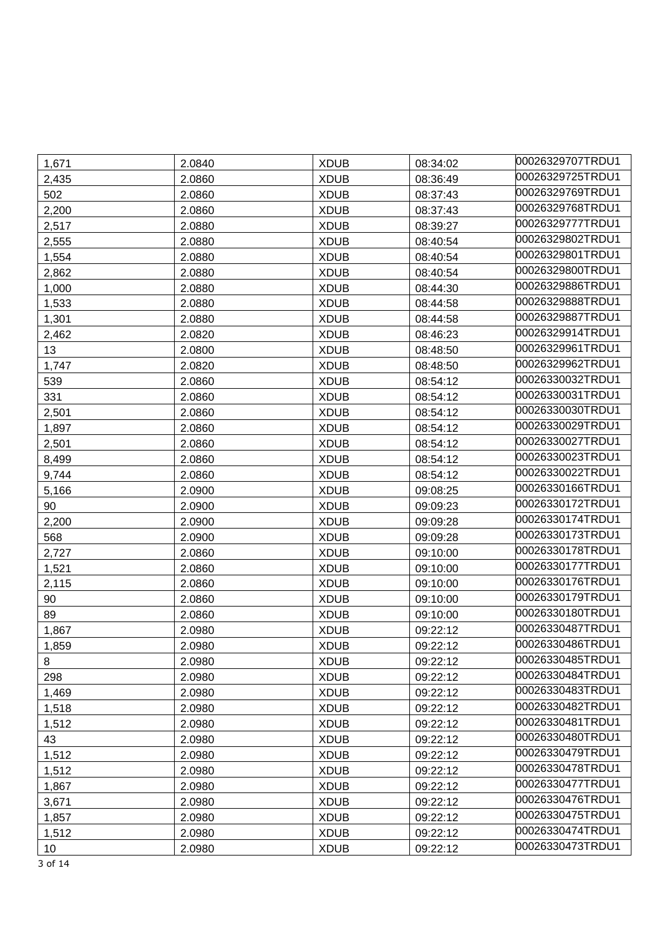| 1,671 | 2.0840 | <b>XDUB</b> | 08:34:02 | 00026329707TRDU1 |
|-------|--------|-------------|----------|------------------|
| 2,435 | 2.0860 | <b>XDUB</b> | 08:36:49 | 00026329725TRDU1 |
| 502   | 2.0860 | <b>XDUB</b> | 08:37:43 | 00026329769TRDU1 |
| 2,200 | 2.0860 | <b>XDUB</b> | 08:37:43 | 00026329768TRDU1 |
| 2,517 | 2.0880 | <b>XDUB</b> | 08:39:27 | 00026329777TRDU1 |
| 2,555 | 2.0880 | <b>XDUB</b> | 08:40:54 | 00026329802TRDU1 |
| 1,554 | 2.0880 | <b>XDUB</b> | 08:40:54 | 00026329801TRDU1 |
| 2,862 | 2.0880 | <b>XDUB</b> | 08:40:54 | 00026329800TRDU1 |
| 1,000 | 2.0880 | <b>XDUB</b> | 08:44:30 | 00026329886TRDU1 |
| 1,533 | 2.0880 | <b>XDUB</b> | 08:44:58 | 00026329888TRDU1 |
| 1,301 | 2.0880 | <b>XDUB</b> | 08:44:58 | 00026329887TRDU1 |
| 2,462 | 2.0820 | <b>XDUB</b> | 08:46:23 | 00026329914TRDU1 |
| 13    | 2.0800 | <b>XDUB</b> | 08:48:50 | 00026329961TRDU1 |
| 1,747 | 2.0820 | <b>XDUB</b> | 08:48:50 | 00026329962TRDU1 |
| 539   | 2.0860 | <b>XDUB</b> | 08:54:12 | 00026330032TRDU1 |
| 331   | 2.0860 | <b>XDUB</b> | 08:54:12 | 00026330031TRDU1 |
| 2,501 | 2.0860 | <b>XDUB</b> | 08:54:12 | 00026330030TRDU1 |
| 1,897 | 2.0860 | <b>XDUB</b> | 08:54:12 | 00026330029TRDU1 |
| 2,501 | 2.0860 | <b>XDUB</b> | 08:54:12 | 00026330027TRDU1 |
| 8,499 | 2.0860 | <b>XDUB</b> | 08:54:12 | 00026330023TRDU1 |
| 9,744 | 2.0860 | <b>XDUB</b> | 08:54:12 | 00026330022TRDU1 |
| 5,166 | 2.0900 | <b>XDUB</b> | 09:08:25 | 00026330166TRDU1 |
| 90    | 2.0900 | <b>XDUB</b> | 09:09:23 | 00026330172TRDU1 |
| 2,200 | 2.0900 | <b>XDUB</b> | 09:09:28 | 00026330174TRDU1 |
| 568   | 2.0900 | <b>XDUB</b> | 09:09:28 | 00026330173TRDU1 |
| 2,727 | 2.0860 | <b>XDUB</b> | 09:10:00 | 00026330178TRDU1 |
| 1,521 | 2.0860 | <b>XDUB</b> | 09:10:00 | 00026330177TRDU1 |
| 2,115 | 2.0860 | <b>XDUB</b> | 09:10:00 | 00026330176TRDU1 |
| 90    | 2.0860 | <b>XDUB</b> | 09:10:00 | 00026330179TRDU1 |
| 89    | 2.0860 | <b>XDUB</b> | 09:10:00 | 00026330180TRDU1 |
| 1,867 | 2.0980 | <b>XDUB</b> | 09:22:12 | 00026330487TRDU1 |
| 1,859 | 2.0980 | <b>XDUB</b> | 09:22:12 | 00026330486TRDU1 |
| 8     | 2.0980 | <b>XDUB</b> | 09:22:12 | 00026330485TRDU1 |
| 298   | 2.0980 | <b>XDUB</b> | 09:22:12 | 00026330484TRDU1 |
| 1,469 | 2.0980 | <b>XDUB</b> | 09:22:12 | 00026330483TRDU1 |
| 1,518 | 2.0980 | <b>XDUB</b> | 09:22:12 | 00026330482TRDU1 |
| 1,512 | 2.0980 | <b>XDUB</b> | 09:22:12 | 00026330481TRDU1 |
| 43    | 2.0980 | <b>XDUB</b> | 09:22:12 | 00026330480TRDU1 |
| 1,512 | 2.0980 | <b>XDUB</b> | 09:22:12 | 00026330479TRDU1 |
| 1,512 | 2.0980 | <b>XDUB</b> | 09:22:12 | 00026330478TRDU1 |
| 1,867 | 2.0980 | <b>XDUB</b> | 09:22:12 | 00026330477TRDU1 |
| 3,671 | 2.0980 | <b>XDUB</b> | 09:22:12 | 00026330476TRDU1 |
| 1,857 | 2.0980 | <b>XDUB</b> | 09:22:12 | 00026330475TRDU1 |
| 1,512 | 2.0980 | <b>XDUB</b> | 09:22:12 | 00026330474TRDU1 |
| 10    | 2.0980 | <b>XDUB</b> | 09:22:12 | 00026330473TRDU1 |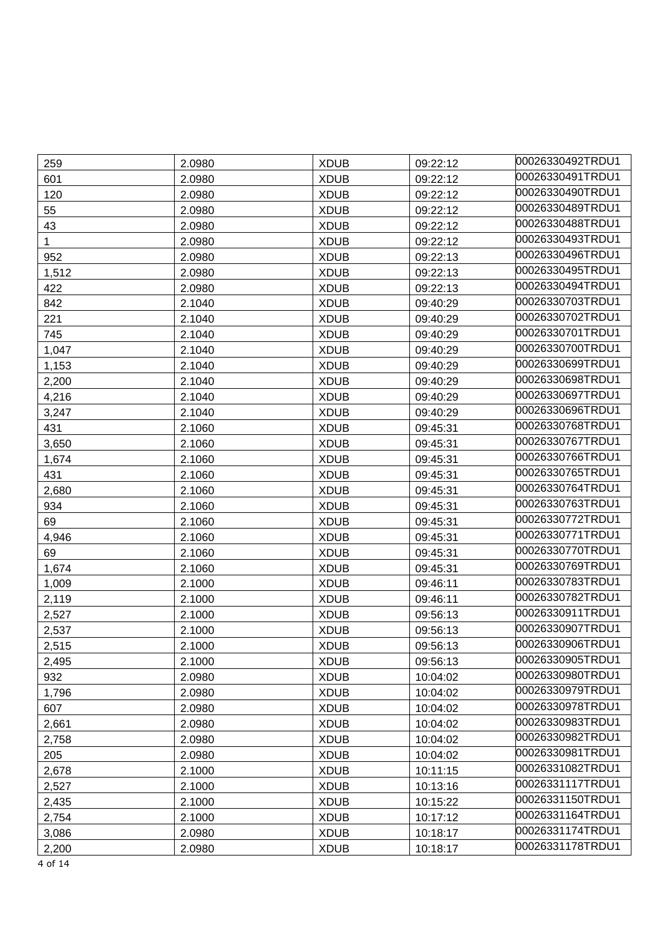| 259          | 2.0980 | <b>XDUB</b> | 09:22:12 | 00026330492TRDU1 |
|--------------|--------|-------------|----------|------------------|
| 601          | 2.0980 | <b>XDUB</b> | 09:22:12 | 00026330491TRDU1 |
| 120          | 2.0980 | <b>XDUB</b> | 09:22:12 | 00026330490TRDU1 |
| 55           | 2.0980 | <b>XDUB</b> | 09:22:12 | 00026330489TRDU1 |
| 43           | 2.0980 | <b>XDUB</b> | 09:22:12 | 00026330488TRDU1 |
| $\mathbf{1}$ | 2.0980 | <b>XDUB</b> | 09:22:12 | 00026330493TRDU1 |
| 952          | 2.0980 | <b>XDUB</b> | 09:22:13 | 00026330496TRDU1 |
| 1,512        | 2.0980 | <b>XDUB</b> | 09:22:13 | 00026330495TRDU1 |
| 422          | 2.0980 | <b>XDUB</b> | 09:22:13 | 00026330494TRDU1 |
| 842          | 2.1040 | <b>XDUB</b> | 09:40:29 | 00026330703TRDU1 |
| 221          | 2.1040 | <b>XDUB</b> | 09:40:29 | 00026330702TRDU1 |
| 745          | 2.1040 | <b>XDUB</b> | 09:40:29 | 00026330701TRDU1 |
| 1,047        | 2.1040 | <b>XDUB</b> | 09:40:29 | 00026330700TRDU1 |
| 1,153        | 2.1040 | <b>XDUB</b> | 09:40:29 | 00026330699TRDU1 |
| 2,200        | 2.1040 | <b>XDUB</b> | 09:40:29 | 00026330698TRDU1 |
| 4,216        | 2.1040 | <b>XDUB</b> | 09:40:29 | 00026330697TRDU1 |
| 3,247        | 2.1040 | <b>XDUB</b> | 09:40:29 | 00026330696TRDU1 |
| 431          | 2.1060 | <b>XDUB</b> | 09:45:31 | 00026330768TRDU1 |
| 3,650        | 2.1060 | <b>XDUB</b> | 09:45:31 | 00026330767TRDU1 |
| 1,674        | 2.1060 | <b>XDUB</b> | 09:45:31 | 00026330766TRDU1 |
| 431          | 2.1060 | <b>XDUB</b> | 09:45:31 | 00026330765TRDU1 |
| 2,680        | 2.1060 | <b>XDUB</b> | 09:45:31 | 00026330764TRDU1 |
| 934          | 2.1060 | <b>XDUB</b> | 09:45:31 | 00026330763TRDU1 |
| 69           | 2.1060 | <b>XDUB</b> | 09:45:31 | 00026330772TRDU1 |
| 4,946        | 2.1060 | <b>XDUB</b> | 09:45:31 | 00026330771TRDU1 |
| 69           | 2.1060 | <b>XDUB</b> | 09:45:31 | 00026330770TRDU1 |
| 1,674        | 2.1060 | <b>XDUB</b> | 09:45:31 | 00026330769TRDU1 |
| 1,009        | 2.1000 | <b>XDUB</b> | 09:46:11 | 00026330783TRDU1 |
| 2,119        | 2.1000 | <b>XDUB</b> | 09:46:11 | 00026330782TRDU1 |
| 2,527        | 2.1000 | <b>XDUB</b> | 09:56:13 | 00026330911TRDU1 |
| 2,537        | 2.1000 | <b>XDUB</b> | 09:56:13 | 00026330907TRDU1 |
| 2,515        | 2.1000 | <b>XDUB</b> | 09:56:13 | 00026330906TRDU1 |
| 2,495        | 2.1000 | <b>XDUB</b> | 09:56:13 | 00026330905TRDU1 |
| 932          | 2.0980 | <b>XDUB</b> | 10:04:02 | 00026330980TRDU1 |
| 1,796        | 2.0980 | <b>XDUB</b> | 10:04:02 | 00026330979TRDU1 |
| 607          | 2.0980 | <b>XDUB</b> | 10:04:02 | 00026330978TRDU1 |
| 2,661        | 2.0980 | <b>XDUB</b> | 10:04:02 | 00026330983TRDU1 |
| 2,758        | 2.0980 | <b>XDUB</b> | 10:04:02 | 00026330982TRDU1 |
| 205          | 2.0980 | <b>XDUB</b> | 10:04:02 | 00026330981TRDU1 |
| 2,678        | 2.1000 | <b>XDUB</b> | 10:11:15 | 00026331082TRDU1 |
| 2,527        | 2.1000 | <b>XDUB</b> | 10:13:16 | 00026331117TRDU1 |
| 2,435        | 2.1000 | <b>XDUB</b> | 10:15:22 | 00026331150TRDU1 |
| 2,754        | 2.1000 | <b>XDUB</b> | 10:17:12 | 00026331164TRDU1 |
| 3,086        | 2.0980 | <b>XDUB</b> | 10:18:17 | 00026331174TRDU1 |
| 2,200        | 2.0980 | <b>XDUB</b> | 10:18:17 | 00026331178TRDU1 |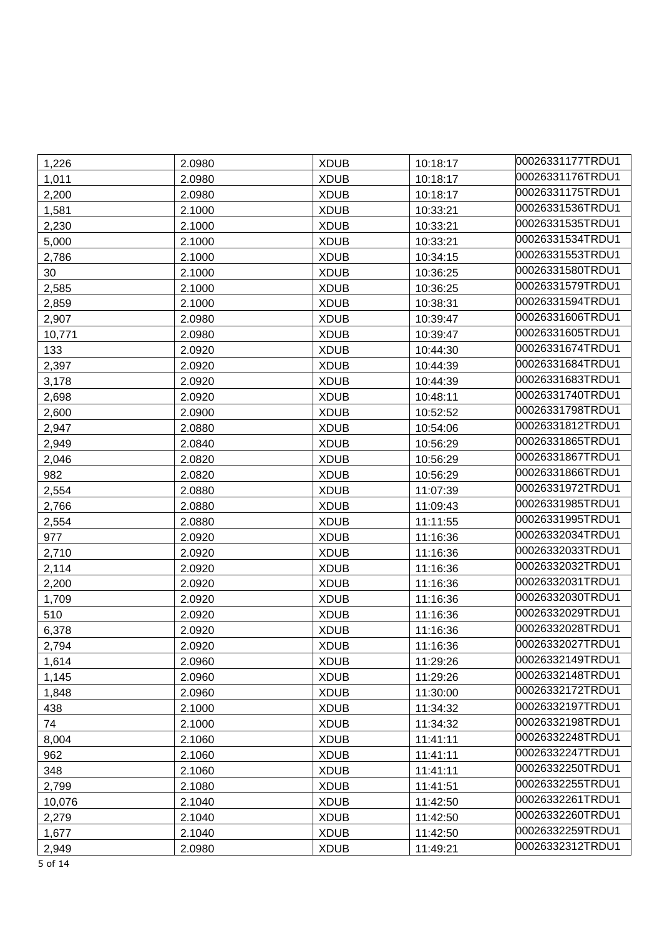| 1,226               | 2.0980 | <b>XDUB</b> | 10:18:17 | 00026331177TRDU1 |
|---------------------|--------|-------------|----------|------------------|
| 1,011               | 2.0980 | <b>XDUB</b> | 10:18:17 | 00026331176TRDU1 |
| 2,200               | 2.0980 | <b>XDUB</b> | 10:18:17 | 00026331175TRDU1 |
| 1,581               | 2.1000 | <b>XDUB</b> | 10:33:21 | 00026331536TRDU1 |
| 2,230               | 2.1000 | <b>XDUB</b> | 10:33:21 | 00026331535TRDU1 |
| 5,000               | 2.1000 | <b>XDUB</b> | 10:33:21 | 00026331534TRDU1 |
| 2,786               | 2.1000 | <b>XDUB</b> | 10:34:15 | 00026331553TRDU1 |
| 30                  | 2.1000 | <b>XDUB</b> | 10:36:25 | 00026331580TRDU1 |
| 2,585               | 2.1000 | <b>XDUB</b> | 10:36:25 | 00026331579TRDU1 |
| 2,859               | 2.1000 | <b>XDUB</b> | 10:38:31 | 00026331594TRDU1 |
| 2,907               | 2.0980 | <b>XDUB</b> | 10:39:47 | 00026331606TRDU1 |
| 10,771              | 2.0980 | <b>XDUB</b> | 10:39:47 | 00026331605TRDU1 |
| 133                 | 2.0920 | <b>XDUB</b> | 10:44:30 | 00026331674TRDU1 |
| 2,397               | 2.0920 | <b>XDUB</b> | 10:44:39 | 00026331684TRDU1 |
| 3,178               | 2.0920 | <b>XDUB</b> | 10:44:39 | 00026331683TRDU1 |
| 2,698               | 2.0920 | <b>XDUB</b> | 10:48:11 | 00026331740TRDU1 |
| 2,600               | 2.0900 | <b>XDUB</b> | 10:52:52 | 00026331798TRDU1 |
| 2,947               | 2.0880 | <b>XDUB</b> | 10:54:06 | 00026331812TRDU1 |
| 2,949               | 2.0840 | <b>XDUB</b> | 10:56:29 | 00026331865TRDU1 |
| 2,046               | 2.0820 | <b>XDUB</b> | 10:56:29 | 00026331867TRDU1 |
| 982                 | 2.0820 | <b>XDUB</b> | 10:56:29 | 00026331866TRDU1 |
| 2,554               | 2.0880 | <b>XDUB</b> | 11:07:39 | 00026331972TRDU1 |
| 2,766               | 2.0880 | <b>XDUB</b> | 11:09:43 | 00026331985TRDU1 |
| 2,554               | 2.0880 | <b>XDUB</b> | 11:11:55 | 00026331995TRDU1 |
| 977                 | 2.0920 | <b>XDUB</b> | 11:16:36 | 00026332034TRDU1 |
| 2,710               | 2.0920 | <b>XDUB</b> | 11:16:36 | 00026332033TRDU1 |
| 2,114               | 2.0920 | <b>XDUB</b> | 11:16:36 | 00026332032TRDU1 |
| 2,200               | 2.0920 | <b>XDUB</b> | 11:16:36 | 00026332031TRDU1 |
| 1,709               | 2.0920 | <b>XDUB</b> | 11:16:36 | 00026332030TRDU1 |
| 510                 | 2.0920 | <b>XDUB</b> | 11:16:36 | 00026332029TRDU1 |
| 6,378               | 2.0920 | <b>XDUB</b> | 11:16:36 | 00026332028TRDU1 |
| 2,794               | 2.0920 | <b>XDUB</b> | 11:16:36 | 00026332027TRDU1 |
| 1,614               | 2.0960 | <b>XDUB</b> | 11:29:26 | 00026332149TRDU1 |
| 1,145               | 2.0960 | <b>XDUB</b> | 11:29:26 | 00026332148TRDU1 |
| 1,848               | 2.0960 | <b>XDUB</b> | 11:30:00 | 00026332172TRDU1 |
| 438                 | 2.1000 | <b>XDUB</b> | 11:34:32 | 00026332197TRDU1 |
| 74                  | 2.1000 | <b>XDUB</b> | 11:34:32 | 00026332198TRDU1 |
| 8,004               | 2.1060 | <b>XDUB</b> | 11:41:11 | 00026332248TRDU1 |
| 962                 | 2.1060 | <b>XDUB</b> | 11:41:11 | 00026332247TRDU1 |
| 348                 | 2.1060 | <b>XDUB</b> | 11:41:11 | 00026332250TRDU1 |
| 2,799               | 2.1080 | <b>XDUB</b> | 11:41:51 | 00026332255TRDU1 |
| 10,076              | 2.1040 | <b>XDUB</b> | 11:42:50 | 00026332261TRDU1 |
| 2,279               | 2.1040 | <b>XDUB</b> | 11:42:50 | 00026332260TRDU1 |
| 1,677               | 2.1040 | <b>XDUB</b> | 11:42:50 | 00026332259TRDU1 |
| 2,949               | 2.0980 | <b>XDUB</b> | 11:49:21 | 00026332312TRDU1 |
| $\Gamma$ $\sim$ 4.4 |        |             |          |                  |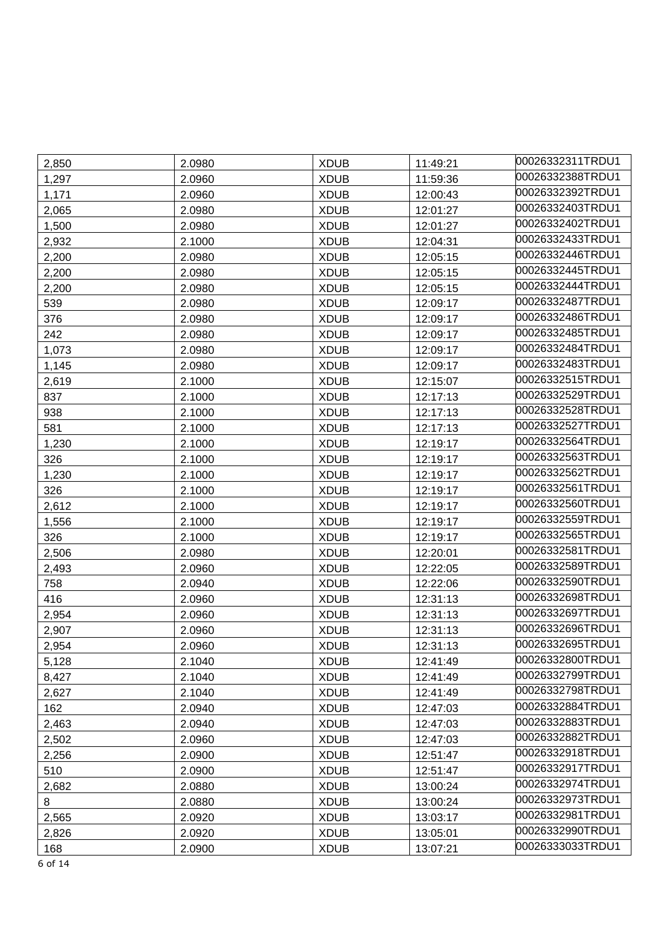| 2,850 | 2.0980 | <b>XDUB</b> | 11:49:21 | 00026332311TRDU1 |
|-------|--------|-------------|----------|------------------|
| 1,297 | 2.0960 | <b>XDUB</b> | 11:59:36 | 00026332388TRDU1 |
| 1,171 | 2.0960 | <b>XDUB</b> | 12:00:43 | 00026332392TRDU1 |
| 2,065 | 2.0980 | <b>XDUB</b> | 12:01:27 | 00026332403TRDU1 |
| 1,500 | 2.0980 | <b>XDUB</b> | 12:01:27 | 00026332402TRDU1 |
| 2,932 | 2.1000 | <b>XDUB</b> | 12:04:31 | 00026332433TRDU1 |
| 2,200 | 2.0980 | <b>XDUB</b> | 12:05:15 | 00026332446TRDU1 |
| 2,200 | 2.0980 | <b>XDUB</b> | 12:05:15 | 00026332445TRDU1 |
| 2,200 | 2.0980 | <b>XDUB</b> | 12:05:15 | 00026332444TRDU1 |
| 539   | 2.0980 | <b>XDUB</b> | 12:09:17 | 00026332487TRDU1 |
| 376   | 2.0980 | <b>XDUB</b> | 12:09:17 | 00026332486TRDU1 |
| 242   | 2.0980 | <b>XDUB</b> | 12:09:17 | 00026332485TRDU1 |
| 1,073 | 2.0980 | <b>XDUB</b> | 12:09:17 | 00026332484TRDU1 |
| 1,145 | 2.0980 | <b>XDUB</b> | 12:09:17 | 00026332483TRDU1 |
| 2,619 | 2.1000 | <b>XDUB</b> | 12:15:07 | 00026332515TRDU1 |
| 837   | 2.1000 | <b>XDUB</b> | 12:17:13 | 00026332529TRDU1 |
| 938   | 2.1000 | <b>XDUB</b> | 12:17:13 | 00026332528TRDU1 |
| 581   | 2.1000 | <b>XDUB</b> | 12:17:13 | 00026332527TRDU1 |
| 1,230 | 2.1000 | <b>XDUB</b> | 12:19:17 | 00026332564TRDU1 |
| 326   | 2.1000 | <b>XDUB</b> | 12:19:17 | 00026332563TRDU1 |
| 1,230 | 2.1000 | <b>XDUB</b> | 12:19:17 | 00026332562TRDU1 |
| 326   | 2.1000 | <b>XDUB</b> | 12:19:17 | 00026332561TRDU1 |
| 2,612 | 2.1000 | <b>XDUB</b> | 12:19:17 | 00026332560TRDU1 |
| 1,556 | 2.1000 | <b>XDUB</b> | 12:19:17 | 00026332559TRDU1 |
| 326   | 2.1000 | <b>XDUB</b> | 12:19:17 | 00026332565TRDU1 |
| 2,506 | 2.0980 | <b>XDUB</b> | 12:20:01 | 00026332581TRDU1 |
| 2,493 | 2.0960 | <b>XDUB</b> | 12:22:05 | 00026332589TRDU1 |
| 758   | 2.0940 | <b>XDUB</b> | 12:22:06 | 00026332590TRDU1 |
| 416   | 2.0960 | <b>XDUB</b> | 12:31:13 | 00026332698TRDU1 |
| 2,954 | 2.0960 | <b>XDUB</b> | 12:31:13 | 00026332697TRDU1 |
| 2,907 | 2.0960 | <b>XDUB</b> | 12:31:13 | 00026332696TRDU1 |
| 2,954 | 2.0960 | <b>XDUB</b> | 12:31:13 | 00026332695TRDU1 |
| 5,128 | 2.1040 | <b>XDUB</b> | 12:41:49 | 00026332800TRDU1 |
| 8,427 | 2.1040 | <b>XDUB</b> | 12:41:49 | 00026332799TRDU1 |
| 2,627 | 2.1040 | <b>XDUB</b> | 12:41:49 | 00026332798TRDU1 |
| 162   | 2.0940 | <b>XDUB</b> | 12:47:03 | 00026332884TRDU1 |
| 2,463 | 2.0940 | <b>XDUB</b> | 12:47:03 | 00026332883TRDU1 |
| 2,502 | 2.0960 | <b>XDUB</b> | 12:47:03 | 00026332882TRDU1 |
| 2,256 | 2.0900 | <b>XDUB</b> | 12:51:47 | 00026332918TRDU1 |
| 510   | 2.0900 | <b>XDUB</b> | 12:51:47 | 00026332917TRDU1 |
| 2,682 | 2.0880 | <b>XDUB</b> | 13:00:24 | 00026332974TRDU1 |
| 8     | 2.0880 | <b>XDUB</b> | 13:00:24 | 00026332973TRDU1 |
| 2,565 | 2.0920 | <b>XDUB</b> | 13:03:17 | 00026332981TRDU1 |
| 2,826 | 2.0920 | <b>XDUB</b> | 13:05:01 | 00026332990TRDU1 |
| 168   | 2.0900 | <b>XDUB</b> | 13:07:21 | 00026333033TRDU1 |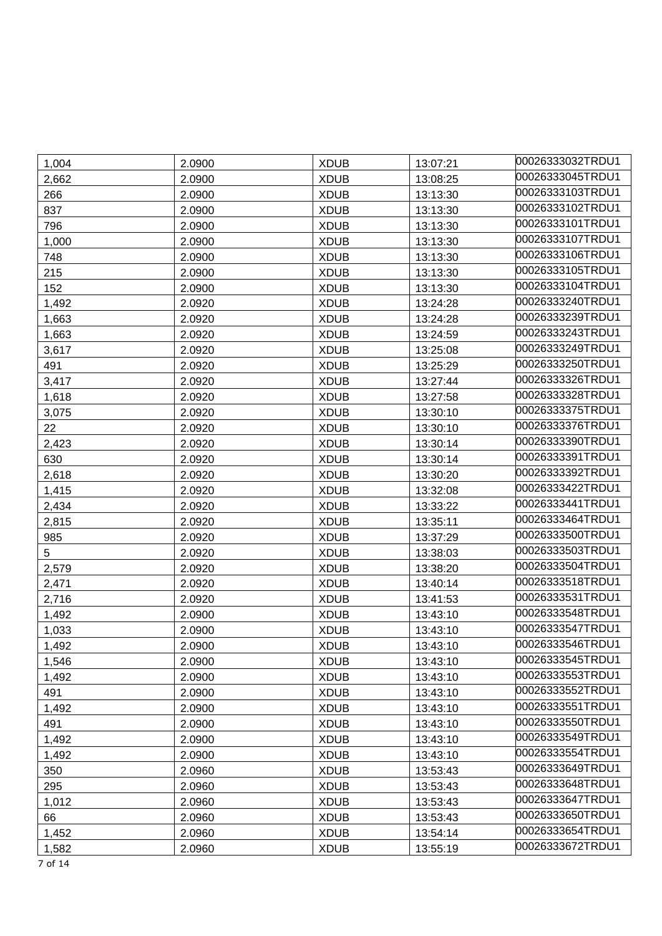| 1,004 | 2.0900 | <b>XDUB</b> | 13:07:21 | 00026333032TRDU1 |
|-------|--------|-------------|----------|------------------|
| 2,662 | 2.0900 | <b>XDUB</b> | 13:08:25 | 00026333045TRDU1 |
| 266   | 2.0900 | <b>XDUB</b> | 13:13:30 | 00026333103TRDU1 |
| 837   | 2.0900 | <b>XDUB</b> | 13:13:30 | 00026333102TRDU1 |
| 796   | 2.0900 | <b>XDUB</b> | 13:13:30 | 00026333101TRDU1 |
| 1,000 | 2.0900 | <b>XDUB</b> | 13:13:30 | 00026333107TRDU1 |
| 748   | 2.0900 | <b>XDUB</b> | 13:13:30 | 00026333106TRDU1 |
| 215   | 2.0900 | <b>XDUB</b> | 13:13:30 | 00026333105TRDU1 |
| 152   | 2.0900 | <b>XDUB</b> | 13:13:30 | 00026333104TRDU1 |
| 1,492 | 2.0920 | <b>XDUB</b> | 13:24:28 | 00026333240TRDU1 |
| 1,663 | 2.0920 | <b>XDUB</b> | 13:24:28 | 00026333239TRDU1 |
| 1,663 | 2.0920 | <b>XDUB</b> | 13:24:59 | 00026333243TRDU1 |
| 3,617 | 2.0920 | <b>XDUB</b> | 13:25:08 | 00026333249TRDU1 |
| 491   | 2.0920 | <b>XDUB</b> | 13:25:29 | 00026333250TRDU1 |
| 3,417 | 2.0920 | <b>XDUB</b> | 13:27:44 | 00026333326TRDU1 |
| 1,618 | 2.0920 | <b>XDUB</b> | 13:27:58 | 00026333328TRDU1 |
| 3,075 | 2.0920 | <b>XDUB</b> | 13:30:10 | 00026333375TRDU1 |
| 22    | 2.0920 | <b>XDUB</b> | 13:30:10 | 00026333376TRDU1 |
| 2,423 | 2.0920 | <b>XDUB</b> | 13:30:14 | 00026333390TRDU1 |
| 630   | 2.0920 | <b>XDUB</b> | 13:30:14 | 00026333391TRDU1 |
| 2,618 | 2.0920 | <b>XDUB</b> | 13:30:20 | 00026333392TRDU1 |
| 1,415 | 2.0920 | <b>XDUB</b> | 13:32:08 | 00026333422TRDU1 |
| 2,434 | 2.0920 | <b>XDUB</b> | 13:33:22 | 00026333441TRDU1 |
| 2,815 | 2.0920 | <b>XDUB</b> | 13:35:11 | 00026333464TRDU1 |
| 985   | 2.0920 | <b>XDUB</b> | 13:37:29 | 00026333500TRDU1 |
| 5     | 2.0920 | <b>XDUB</b> | 13:38:03 | 00026333503TRDU1 |
| 2,579 | 2.0920 | <b>XDUB</b> | 13:38:20 | 00026333504TRDU1 |
| 2,471 | 2.0920 | <b>XDUB</b> | 13:40:14 | 00026333518TRDU1 |
| 2,716 | 2.0920 | <b>XDUB</b> | 13:41:53 | 00026333531TRDU1 |
| 1,492 | 2.0900 | <b>XDUB</b> | 13:43:10 | 00026333548TRDU1 |
| 1,033 | 2.0900 | <b>XDUB</b> | 13:43:10 | 00026333547TRDU1 |
| 1,492 | 2.0900 | <b>XDUB</b> | 13:43:10 | 00026333546TRDU1 |
| 1,546 | 2.0900 | <b>XDUB</b> | 13:43:10 | 00026333545TRDU1 |
| 1,492 | 2.0900 | <b>XDUB</b> | 13:43:10 | 00026333553TRDU1 |
| 491   | 2.0900 | <b>XDUB</b> | 13:43:10 | 00026333552TRDU1 |
| 1,492 | 2.0900 | <b>XDUB</b> | 13:43:10 | 00026333551TRDU1 |
| 491   | 2.0900 | <b>XDUB</b> | 13:43:10 | 00026333550TRDU1 |
| 1,492 | 2.0900 | <b>XDUB</b> | 13:43:10 | 00026333549TRDU1 |
| 1,492 | 2.0900 | <b>XDUB</b> | 13:43:10 | 00026333554TRDU1 |
| 350   | 2.0960 | <b>XDUB</b> | 13:53:43 | 00026333649TRDU1 |
| 295   | 2.0960 | <b>XDUB</b> | 13:53:43 | 00026333648TRDU1 |
| 1,012 | 2.0960 | <b>XDUB</b> | 13:53:43 | 00026333647TRDU1 |
| 66    | 2.0960 | <b>XDUB</b> | 13:53:43 | 00026333650TRDU1 |
| 1,452 | 2.0960 | <b>XDUB</b> | 13:54:14 | 00026333654TRDU1 |
| 1,582 | 2.0960 | <b>XDUB</b> | 13:55:19 | 00026333672TRDU1 |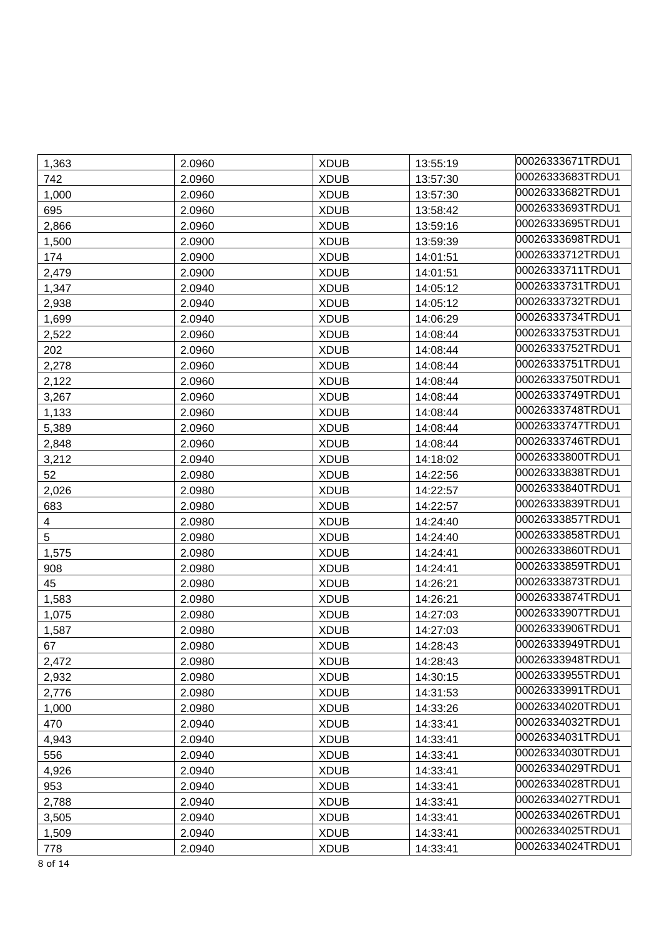| 1,363 | 2.0960 | <b>XDUB</b> | 13:55:19 | 00026333671TRDU1 |
|-------|--------|-------------|----------|------------------|
| 742   | 2.0960 | <b>XDUB</b> | 13:57:30 | 00026333683TRDU1 |
| 1,000 | 2.0960 | <b>XDUB</b> | 13:57:30 | 00026333682TRDU1 |
| 695   | 2.0960 | <b>XDUB</b> | 13:58:42 | 00026333693TRDU1 |
| 2,866 | 2.0960 | <b>XDUB</b> | 13:59:16 | 00026333695TRDU1 |
| 1,500 | 2.0900 | <b>XDUB</b> | 13:59:39 | 00026333698TRDU1 |
| 174   | 2.0900 | <b>XDUB</b> | 14:01:51 | 00026333712TRDU1 |
| 2,479 | 2.0900 | <b>XDUB</b> | 14:01:51 | 00026333711TRDU1 |
| 1,347 | 2.0940 | <b>XDUB</b> | 14:05:12 | 00026333731TRDU1 |
| 2,938 | 2.0940 | <b>XDUB</b> | 14:05:12 | 00026333732TRDU1 |
| 1,699 | 2.0940 | <b>XDUB</b> | 14:06:29 | 00026333734TRDU1 |
| 2,522 | 2.0960 | <b>XDUB</b> | 14:08:44 | 00026333753TRDU1 |
| 202   | 2.0960 | <b>XDUB</b> | 14:08:44 | 00026333752TRDU1 |
| 2,278 | 2.0960 | <b>XDUB</b> | 14:08:44 | 00026333751TRDU1 |
| 2,122 | 2.0960 | <b>XDUB</b> | 14:08:44 | 00026333750TRDU1 |
| 3,267 | 2.0960 | <b>XDUB</b> | 14:08:44 | 00026333749TRDU1 |
| 1,133 | 2.0960 | <b>XDUB</b> | 14:08:44 | 00026333748TRDU1 |
| 5,389 | 2.0960 | <b>XDUB</b> | 14:08:44 | 00026333747TRDU1 |
| 2,848 | 2.0960 | <b>XDUB</b> | 14:08:44 | 00026333746TRDU1 |
| 3,212 | 2.0940 | <b>XDUB</b> | 14:18:02 | 00026333800TRDU1 |
| 52    | 2.0980 | <b>XDUB</b> | 14:22:56 | 00026333838TRDU1 |
| 2,026 | 2.0980 | <b>XDUB</b> | 14:22:57 | 00026333840TRDU1 |
| 683   | 2.0980 | <b>XDUB</b> | 14:22:57 | 00026333839TRDU1 |
| 4     | 2.0980 | <b>XDUB</b> | 14:24:40 | 00026333857TRDU1 |
| 5     | 2.0980 | <b>XDUB</b> | 14:24:40 | 00026333858TRDU1 |
| 1,575 | 2.0980 | <b>XDUB</b> | 14:24:41 | 00026333860TRDU1 |
| 908   | 2.0980 | <b>XDUB</b> | 14:24:41 | 00026333859TRDU1 |
| 45    | 2.0980 | <b>XDUB</b> | 14:26:21 | 00026333873TRDU1 |
| 1,583 | 2.0980 | <b>XDUB</b> | 14:26:21 | 00026333874TRDU1 |
| 1,075 | 2.0980 | <b>XDUB</b> | 14:27:03 | 00026333907TRDU1 |
| 1,587 | 2.0980 | <b>XDUB</b> | 14:27:03 | 00026333906TRDU1 |
| 67    | 2.0980 | <b>XDUB</b> | 14:28:43 | 00026333949TRDU1 |
| 2,472 | 2.0980 | <b>XDUB</b> | 14:28:43 | 00026333948TRDU1 |
| 2,932 | 2.0980 | <b>XDUB</b> | 14:30:15 | 00026333955TRDU1 |
| 2,776 | 2.0980 | <b>XDUB</b> | 14:31:53 | 00026333991TRDU1 |
| 1,000 | 2.0980 | <b>XDUB</b> | 14:33:26 | 00026334020TRDU1 |
| 470   | 2.0940 | <b>XDUB</b> | 14:33:41 | 00026334032TRDU1 |
| 4,943 | 2.0940 | <b>XDUB</b> | 14:33:41 | 00026334031TRDU1 |
| 556   | 2.0940 | <b>XDUB</b> | 14:33:41 | 00026334030TRDU1 |
| 4,926 | 2.0940 | <b>XDUB</b> | 14:33:41 | 00026334029TRDU1 |
| 953   | 2.0940 | <b>XDUB</b> | 14:33:41 | 00026334028TRDU1 |
| 2,788 | 2.0940 | <b>XDUB</b> | 14:33:41 | 00026334027TRDU1 |
| 3,505 | 2.0940 | <b>XDUB</b> | 14:33:41 | 00026334026TRDU1 |
| 1,509 | 2.0940 | <b>XDUB</b> | 14:33:41 | 00026334025TRDU1 |
| 778   | 2.0940 | <b>XDUB</b> | 14:33:41 | 00026334024TRDU1 |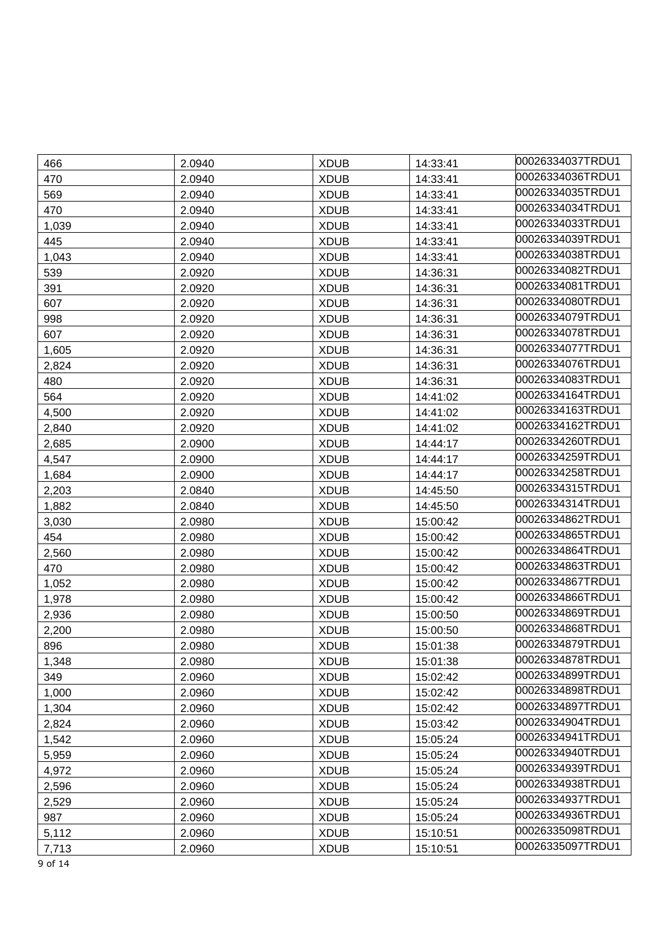| 466   | 2.0940 | <b>XDUB</b> | 14:33:41 | 00026334037TRDU1 |
|-------|--------|-------------|----------|------------------|
| 470   | 2.0940 | <b>XDUB</b> | 14:33:41 | 00026334036TRDU1 |
| 569   | 2.0940 | <b>XDUB</b> | 14:33:41 | 00026334035TRDU1 |
| 470   | 2.0940 | <b>XDUB</b> | 14:33:41 | 00026334034TRDU1 |
| 1,039 | 2.0940 | <b>XDUB</b> | 14:33:41 | 00026334033TRDU1 |
| 445   | 2.0940 | <b>XDUB</b> | 14:33:41 | 00026334039TRDU1 |
| 1,043 | 2.0940 | <b>XDUB</b> | 14:33:41 | 00026334038TRDU1 |
| 539   | 2.0920 | <b>XDUB</b> | 14:36:31 | 00026334082TRDU1 |
| 391   | 2.0920 | <b>XDUB</b> | 14:36:31 | 00026334081TRDU1 |
| 607   | 2.0920 | <b>XDUB</b> | 14:36:31 | 00026334080TRDU1 |
| 998   | 2.0920 | <b>XDUB</b> | 14:36:31 | 00026334079TRDU1 |
| 607   | 2.0920 | <b>XDUB</b> | 14:36:31 | 00026334078TRDU1 |
| 1,605 | 2.0920 | <b>XDUB</b> | 14:36:31 | 00026334077TRDU1 |
| 2,824 | 2.0920 | <b>XDUB</b> | 14:36:31 | 00026334076TRDU1 |
| 480   | 2.0920 | <b>XDUB</b> | 14:36:31 | 00026334083TRDU1 |
| 564   | 2.0920 | <b>XDUB</b> | 14:41:02 | 00026334164TRDU1 |
| 4,500 | 2.0920 | <b>XDUB</b> | 14:41:02 | 00026334163TRDU1 |
| 2,840 | 2.0920 | <b>XDUB</b> | 14:41:02 | 00026334162TRDU1 |
| 2,685 | 2.0900 | <b>XDUB</b> | 14:44:17 | 00026334260TRDU1 |
| 4,547 | 2.0900 | <b>XDUB</b> | 14:44:17 | 00026334259TRDU1 |
| 1,684 | 2.0900 | <b>XDUB</b> | 14:44:17 | 00026334258TRDU1 |
| 2,203 | 2.0840 | <b>XDUB</b> | 14:45:50 | 00026334315TRDU1 |
| 1,882 | 2.0840 | <b>XDUB</b> | 14:45:50 | 00026334314TRDU1 |
| 3,030 | 2.0980 | <b>XDUB</b> | 15:00:42 | 00026334862TRDU1 |
| 454   | 2.0980 | <b>XDUB</b> | 15:00:42 | 00026334865TRDU1 |
| 2,560 | 2.0980 | <b>XDUB</b> | 15:00:42 | 00026334864TRDU1 |
| 470   | 2.0980 | <b>XDUB</b> | 15:00:42 | 00026334863TRDU1 |
| 1,052 | 2.0980 | <b>XDUB</b> | 15:00:42 | 00026334867TRDU1 |
| 1,978 | 2.0980 | <b>XDUB</b> | 15:00:42 | 00026334866TRDU1 |
| 2,936 | 2.0980 | <b>XDUB</b> | 15:00:50 | 00026334869TRDU1 |
| 2,200 | 2.0980 | <b>XDUB</b> | 15:00:50 | 00026334868TRDU1 |
| 896   | 2.0980 | <b>XDUB</b> | 15:01:38 | 00026334879TRDU1 |
| 1,348 | 2.0980 | <b>XDUB</b> | 15:01:38 | 00026334878TRDU1 |
| 349   | 2.0960 | <b>XDUB</b> | 15:02:42 | 00026334899TRDU1 |
| 1,000 | 2.0960 | <b>XDUB</b> | 15:02:42 | 00026334898TRDU1 |
| 1,304 | 2.0960 | <b>XDUB</b> | 15:02:42 | 00026334897TRDU1 |
| 2,824 | 2.0960 | <b>XDUB</b> | 15:03:42 | 00026334904TRDU1 |
| 1,542 | 2.0960 | <b>XDUB</b> | 15:05:24 | 00026334941TRDU1 |
| 5,959 | 2.0960 | <b>XDUB</b> | 15:05:24 | 00026334940TRDU1 |
| 4,972 | 2.0960 | <b>XDUB</b> | 15:05:24 | 00026334939TRDU1 |
| 2,596 | 2.0960 | <b>XDUB</b> | 15:05:24 | 00026334938TRDU1 |
| 2,529 | 2.0960 | <b>XDUB</b> | 15:05:24 | 00026334937TRDU1 |
| 987   | 2.0960 | <b>XDUB</b> | 15:05:24 | 00026334936TRDU1 |
| 5,112 | 2.0960 | <b>XDUB</b> | 15:10:51 | 00026335098TRDU1 |
| 7,713 | 2.0960 | <b>XDUB</b> | 15:10:51 | 00026335097TRDU1 |

9 of 14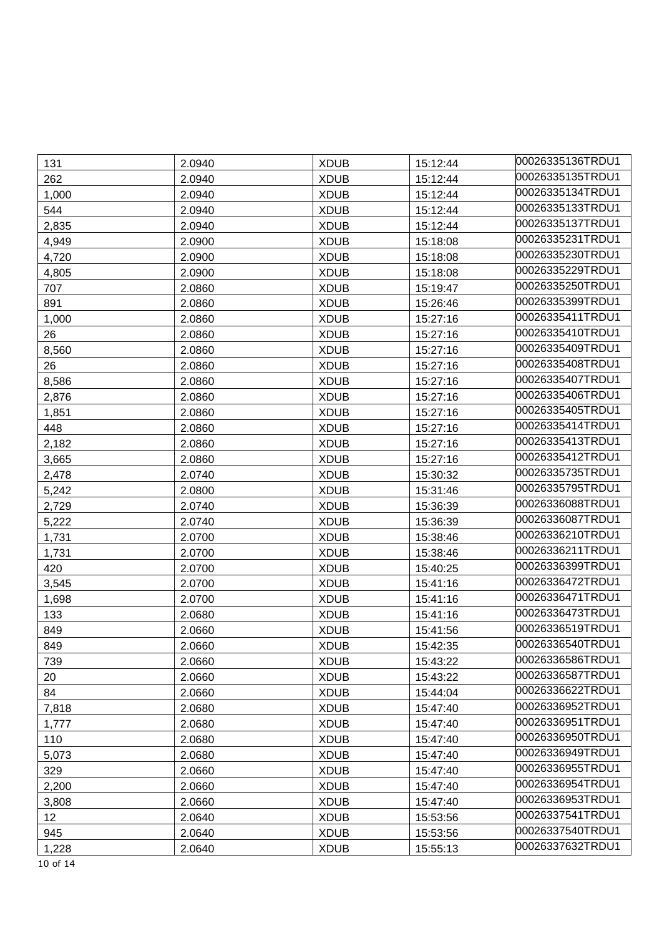|              |                  |                            |                      | 00026335136TRDU1 |
|--------------|------------------|----------------------------|----------------------|------------------|
| 131<br>262   | 2.0940<br>2.0940 | <b>XDUB</b><br><b>XDUB</b> | 15:12:44             | 00026335135TRDU1 |
|              | 2.0940           | <b>XDUB</b>                | 15:12:44<br>15:12:44 | 00026335134TRDU1 |
| 1,000<br>544 | 2.0940           | <b>XDUB</b>                | 15:12:44             | 00026335133TRDU1 |
|              | 2.0940           |                            |                      | 00026335137TRDU1 |
| 2,835        |                  | <b>XDUB</b>                | 15:12:44             | 00026335231TRDU1 |
| 4,949        | 2.0900           | <b>XDUB</b>                | 15:18:08             | 00026335230TRDU1 |
| 4,720        | 2.0900           | <b>XDUB</b>                | 15:18:08             | 00026335229TRDU1 |
| 4,805        | 2.0900           | <b>XDUB</b>                | 15:18:08             | 00026335250TRDU1 |
| 707          | 2.0860           | <b>XDUB</b>                | 15:19:47             | 00026335399TRDU1 |
| 891          | 2.0860           | <b>XDUB</b>                | 15:26:46             | 00026335411TRDU1 |
| 1,000        | 2.0860           | <b>XDUB</b>                | 15:27:16             | 00026335410TRDU1 |
| 26           | 2.0860           | <b>XDUB</b>                | 15:27:16             |                  |
| 8,560        | 2.0860           | <b>XDUB</b>                | 15:27:16             | 00026335409TRDU1 |
| 26           | 2.0860           | <b>XDUB</b>                | 15:27:16             | 00026335408TRDU1 |
| 8,586        | 2.0860           | <b>XDUB</b>                | 15:27:16             | 00026335407TRDU1 |
| 2,876        | 2.0860           | <b>XDUB</b>                | 15:27:16             | 00026335406TRDU1 |
| 1,851        | 2.0860           | <b>XDUB</b>                | 15:27:16             | 00026335405TRDU1 |
| 448          | 2.0860           | <b>XDUB</b>                | 15:27:16             | 00026335414TRDU1 |
| 2,182        | 2.0860           | <b>XDUB</b>                | 15:27:16             | 00026335413TRDU1 |
| 3,665        | 2.0860           | <b>XDUB</b>                | 15:27:16             | 00026335412TRDU1 |
| 2,478        | 2.0740           | <b>XDUB</b>                | 15:30:32             | 00026335735TRDU1 |
| 5,242        | 2.0800           | <b>XDUB</b>                | 15:31:46             | 00026335795TRDU1 |
| 2,729        | 2.0740           | <b>XDUB</b>                | 15:36:39             | 00026336088TRDU1 |
| 5,222        | 2.0740           | <b>XDUB</b>                | 15:36:39             | 00026336087TRDU1 |
| 1,731        | 2.0700           | <b>XDUB</b>                | 15:38:46             | 00026336210TRDU1 |
| 1,731        | 2.0700           | <b>XDUB</b>                | 15:38:46             | 00026336211TRDU1 |
| 420          | 2.0700           | <b>XDUB</b>                | 15:40:25             | 00026336399TRDU1 |
| 3,545        | 2.0700           | <b>XDUB</b>                | 15:41:16             | 00026336472TRDU1 |
| 1,698        | 2.0700           | <b>XDUB</b>                | 15:41:16             | 00026336471TRDU1 |
| 133          | 2.0680           | <b>XDUB</b>                | 15:41:16             | 00026336473TRDU1 |
| 849          | 2.0660           | <b>XDUB</b>                | 15:41:56             | 00026336519TRDU1 |
| 849          | 2.0660           | <b>XDUB</b>                | 15:42:35             | 00026336540TRDU1 |
| 739          | 2.0660           | <b>XDUB</b>                | 15:43:22             | 00026336586TRDU1 |
| 20           | 2.0660           | <b>XDUB</b>                | 15:43:22             | 00026336587TRDU1 |
| 84           | 2.0660           | <b>XDUB</b>                | 15:44:04             | 00026336622TRDU1 |
| 7,818        | 2.0680           | <b>XDUB</b>                | 15:47:40             | 00026336952TRDU1 |
| 1,777        | 2.0680           | <b>XDUB</b>                | 15:47:40             | 00026336951TRDU1 |
| 110          | 2.0680           | <b>XDUB</b>                | 15:47:40             | 00026336950TRDU1 |
| 5,073        | 2.0680           | <b>XDUB</b>                | 15:47:40             | 00026336949TRDU1 |
| 329          | 2.0660           | <b>XDUB</b>                | 15:47:40             | 00026336955TRDU1 |
| 2,200        | 2.0660           | <b>XDUB</b>                | 15:47:40             | 00026336954TRDU1 |
| 3,808        | 2.0660           | <b>XDUB</b>                | 15:47:40             | 00026336953TRDU1 |
| 12           | 2.0640           | <b>XDUB</b>                | 15:53:56             | 00026337541TRDU1 |
| 945          | 2.0640           | <b>XDUB</b>                | 15:53:56             | 00026337540TRDU1 |
| 1,228        | 2.0640           | <b>XDUB</b>                | 15:55:13             | 00026337632TRDU1 |
| 10 of 14     |                  |                            |                      |                  |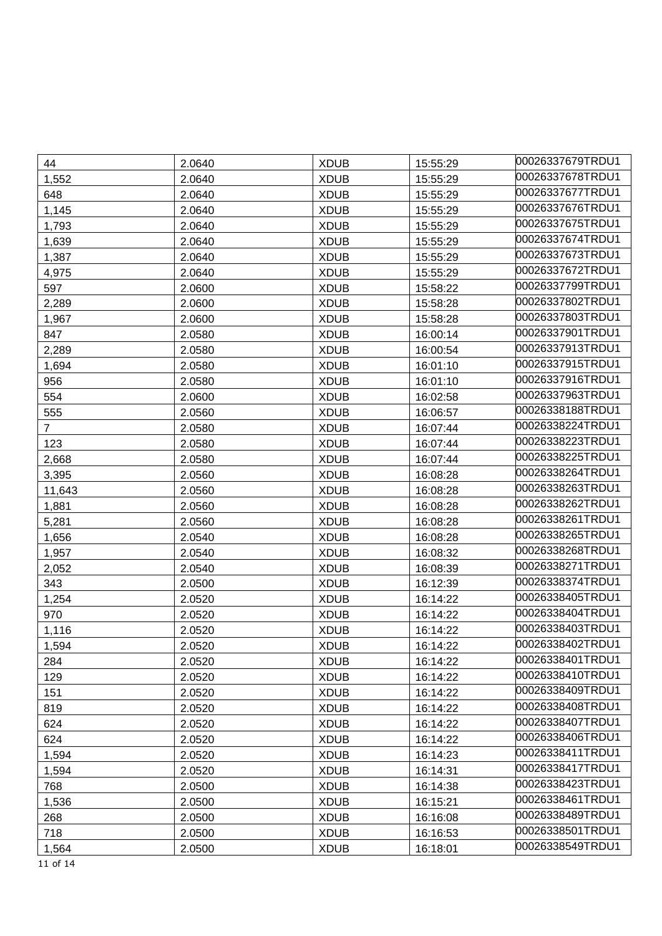| 44             | 2.0640 | <b>XDUB</b> | 15:55:29 | 00026337679TRDU1 |
|----------------|--------|-------------|----------|------------------|
| 1,552          | 2.0640 | <b>XDUB</b> | 15:55:29 | 00026337678TRDU1 |
| 648            | 2.0640 | <b>XDUB</b> | 15:55:29 | 00026337677TRDU1 |
| 1,145          | 2.0640 | <b>XDUB</b> | 15:55:29 | 00026337676TRDU1 |
| 1,793          | 2.0640 | <b>XDUB</b> | 15:55:29 | 00026337675TRDU1 |
| 1,639          | 2.0640 | <b>XDUB</b> | 15:55:29 | 00026337674TRDU1 |
| 1,387          | 2.0640 | <b>XDUB</b> | 15:55:29 | 00026337673TRDU1 |
| 4,975          | 2.0640 | <b>XDUB</b> | 15:55:29 | 00026337672TRDU1 |
| 597            | 2.0600 | <b>XDUB</b> | 15:58:22 | 00026337799TRDU1 |
| 2,289          | 2.0600 | <b>XDUB</b> | 15:58:28 | 00026337802TRDU1 |
| 1,967          | 2.0600 | <b>XDUB</b> | 15:58:28 | 00026337803TRDU1 |
| 847            | 2.0580 | <b>XDUB</b> | 16:00:14 | 00026337901TRDU1 |
| 2,289          | 2.0580 | <b>XDUB</b> | 16:00:54 | 00026337913TRDU1 |
| 1,694          | 2.0580 | <b>XDUB</b> | 16:01:10 | 00026337915TRDU1 |
| 956            | 2.0580 | <b>XDUB</b> | 16:01:10 | 00026337916TRDU1 |
| 554            | 2.0600 | <b>XDUB</b> | 16:02:58 | 00026337963TRDU1 |
| 555            | 2.0560 | <b>XDUB</b> | 16:06:57 | 00026338188TRDU1 |
| $\overline{7}$ | 2.0580 | <b>XDUB</b> | 16:07:44 | 00026338224TRDU1 |
| 123            | 2.0580 | <b>XDUB</b> | 16:07:44 | 00026338223TRDU1 |
| 2,668          | 2.0580 | <b>XDUB</b> | 16:07:44 | 00026338225TRDU1 |
| 3,395          | 2.0560 | <b>XDUB</b> | 16:08:28 | 00026338264TRDU1 |
| 11,643         | 2.0560 | <b>XDUB</b> | 16:08:28 | 00026338263TRDU1 |
| 1,881          | 2.0560 | <b>XDUB</b> | 16:08:28 | 00026338262TRDU1 |
| 5,281          | 2.0560 | <b>XDUB</b> | 16:08:28 | 00026338261TRDU1 |
| 1,656          | 2.0540 | <b>XDUB</b> | 16:08:28 | 00026338265TRDU1 |
| 1,957          | 2.0540 | <b>XDUB</b> | 16:08:32 | 00026338268TRDU1 |
| 2,052          | 2.0540 | <b>XDUB</b> | 16:08:39 | 00026338271TRDU1 |
| 343            | 2.0500 | <b>XDUB</b> | 16:12:39 | 00026338374TRDU1 |
| 1,254          | 2.0520 | <b>XDUB</b> | 16:14:22 | 00026338405TRDU1 |
| 970            | 2.0520 | <b>XDUB</b> | 16:14:22 | 00026338404TRDU1 |
| 1,116          | 2.0520 | <b>XDUB</b> | 16:14:22 | 00026338403TRDU1 |
| 1,594          | 2.0520 | <b>XDUB</b> | 16:14:22 | 00026338402TRDU1 |
| 284            | 2.0520 | <b>XDUB</b> | 16:14:22 | 00026338401TRDU1 |
| 129            | 2.0520 | <b>XDUB</b> | 16:14:22 | 00026338410TRDU1 |
| 151            | 2.0520 | <b>XDUB</b> | 16:14:22 | 00026338409TRDU1 |
| 819            | 2.0520 | <b>XDUB</b> | 16:14:22 | 00026338408TRDU1 |
| 624            | 2.0520 | <b>XDUB</b> | 16:14:22 | 00026338407TRDU1 |
| 624            | 2.0520 | <b>XDUB</b> | 16:14:22 | 00026338406TRDU1 |
| 1,594          | 2.0520 | <b>XDUB</b> | 16:14:23 | 00026338411TRDU1 |
| 1,594          | 2.0520 | <b>XDUB</b> | 16:14:31 | 00026338417TRDU1 |
| 768            | 2.0500 | <b>XDUB</b> | 16:14:38 | 00026338423TRDU1 |
| 1,536          | 2.0500 | <b>XDUB</b> | 16:15:21 | 00026338461TRDU1 |
| 268            | 2.0500 | <b>XDUB</b> | 16:16:08 | 00026338489TRDU1 |
| 718            | 2.0500 | <b>XDUB</b> | 16:16:53 | 00026338501TRDU1 |
| 1,564          | 2.0500 | <b>XDUB</b> | 16:18:01 | 00026338549TRDU1 |

11 of 14